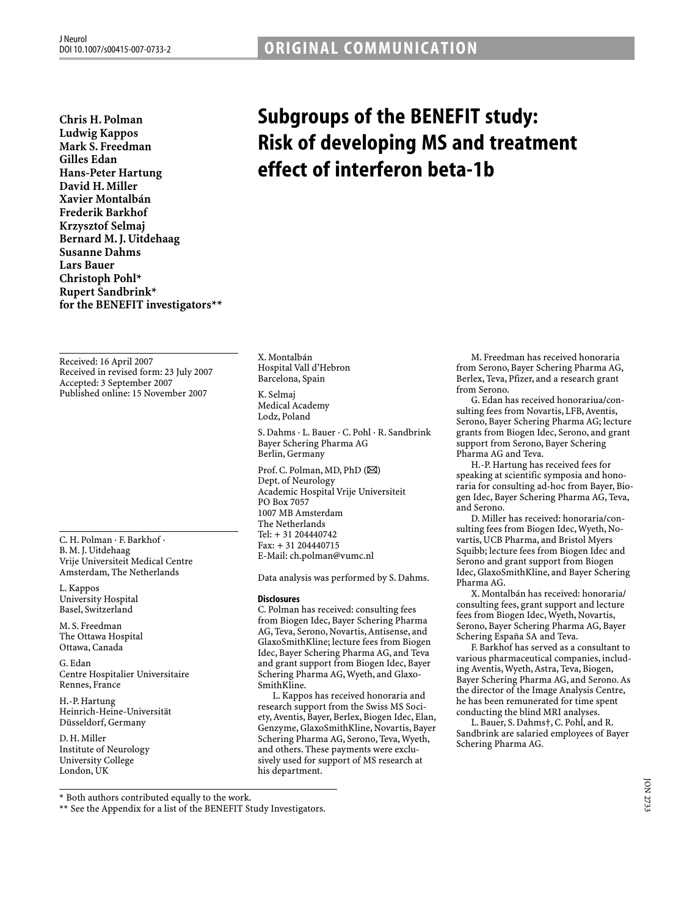**Chris H. Polman Ludwig Kappos Mark S. Freedman Gilles Edan Hans-Peter Hartung David H. Miller Xavier Montalbán Frederik Barkhof Krzysztof Selmaj Bernard M. J. Uitdehaag Susanne Dahms Lars Bauer Christoph Pohl\* Rupert Sandbrink\* for the BENEFIT investigators\*\***

Received: 16 April 2007 Received in revised form: 23 July 2007 Accepted: 3 September 2007 Published online: 15 November 2007

C. H. Polman · F. Barkhof · B. M. J. Uitdehaag Vrije Universiteit Medical Centre Amsterdam, The Netherlands

L. Kappos University Hospital Basel, Switzerland

M. S. Freedman The Ottawa Hospital Ottawa, Canada

G. Edan Centre Hospitalier Universitaire Rennes, France

H.-P. Hartung Heinrich-Heine-Universität Düsseldorf, Germany

D. H. Miller Institute of Neurology University College London, UK

# Subgroups of the BENEFIT study: Risk of developing MS and treatment effect of interferon beta-1b

X. Montalbán Hospital Vall d'Hebron Barcelona, Spain

K. Selmaj Medical Academy Lodz, Poland

S. Dahms · L. Bauer · C. Pohl · R. Sandbrink Bayer Schering Pharma AG Berlin, Germany

Prof. C. Polman, MD, PhD ( $\boxtimes$ ) Dept. of Neurology Academic Hospital Vrije Universiteit PO Box 7057 1007 MB Amsterdam The Netherlands Tel: + 31 204440742 Fax: + 31 204440715 E-Mail: ch.polman@vumc.nl

Data analysis was performed by S. Dahms.

#### Disclosures

C. Polman has received: consulting fees from Biogen Idec, Bayer Schering Pharma AG, Teva, Serono, Novartis, Antisense, and GlaxoSmithKline; lecture fees from Biogen Idec, Bayer Schering Pharma AG, and Teva and grant support from Biogen Idec, Bayer Schering Pharma AG, Wyeth, and Glaxo-SmithKline.

L. Kappos has received honoraria and research support from the Swiss MS Society, Aventis, Bayer, Berlex, Biogen Idec, Elan, Genzyme, GlaxoSmithKline, Novartis, Bayer Schering Pharma AG, Serono, Teva, Wyeth, and others. These payments were exclusively used for support of MS research at his department.

M. Freedman has received honoraria from Serono, Bayer Schering Pharma AG, Berlex, Teva, Pfizer, and a research grant from Serono.

G. Edan has received honorariua/consulting fees from Novartis, LFB, Aventis, Serono, Bayer Schering Pharma AG; lecture grants from Biogen Idec, Serono, and grant support from Serono, Bayer Schering Pharma AG and Teva.

H.-P. Hartung has received fees for speaking at scientific symposia and honoraria for consulting ad-hoc from Bayer, Biogen Idec, Bayer Schering Pharma AG, Teva, and Serono.

D. Miller has received: honoraria/consulting fees from Biogen Idec, Wyeth, Novartis, UCB Pharma, and Bristol Myers Squibb; lecture fees from Biogen Idec and Serono and grant support from Biogen Idec, GlaxoSmithKline, and Bayer Schering Pharma AG.

X. Montalbán has received: honoraria/ consulting fees, grant support and lecture fees from Biogen Idec, Wyeth, Novartis, Serono, Bayer Schering Pharma AG, Bayer Schering España SA and Teva.

F. Barkhof has served as a consultant to various pharmaceutical companies, including Aventis, Wyeth, Astra, Teva, Biogen, Bayer Schering Pharma AG, and Serono. As the director of the Image Analysis Centre, he has been remunerated for time spent conducting the blind MRI analyses.

L. Bauer, S. Dahms†, C. Pohl, and R. Sandbrink are salaried employees of Bayer Schering Pharma AG.

\* Both authors contributed equally to the work.

\*\* See the Appendix for a list of the BENEFIT Study Investigators.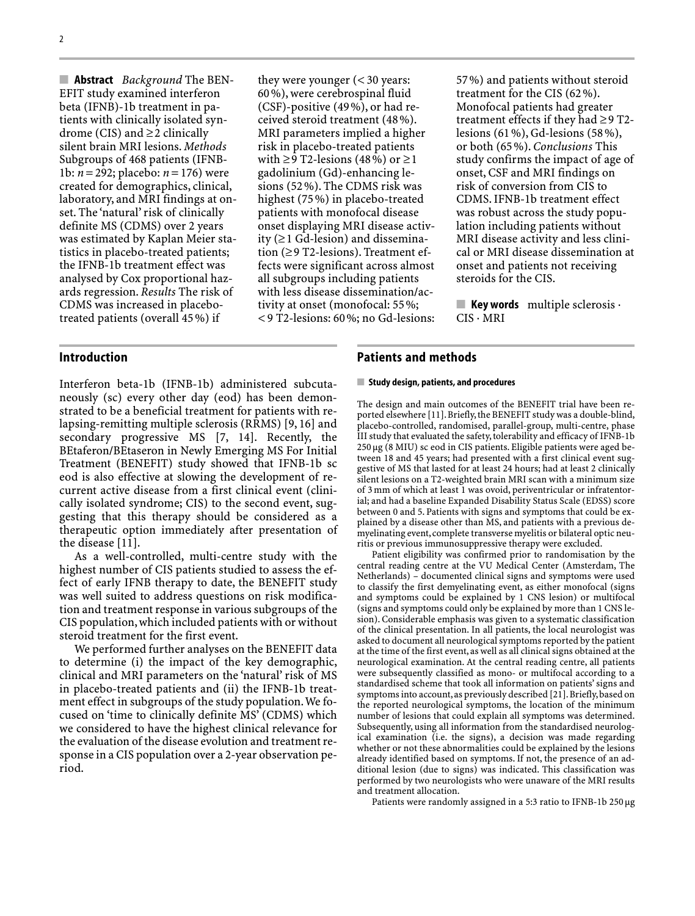$\overline{2}$ 

■ **Abstract** *Background* The BEN-EFIT study examined interferon beta (IFNB)-1b treatment in patients with clinically isolated syndrome (CIS) and  $\geq$  2 clinically silent brain MRI lesions. *Methods* Subgroups of 468 patients (IFNB-1b: *n*= 292; placebo: *n*= 176) were created for demographics, clinical, laboratory, and MRI findings at onset. The 'natural' risk of clinically definite MS (CDMS) over 2 years was estimated by Kaplan Meier statistics in placebo-treated patients; the IFNB-1b treatment effect was analysed by Cox proportional hazards regression. *Results* The risk of CDMS was increased in placebotreated patients (overall 45 %) if

#### Introduction

Interferon beta-1b (IFNB-1b) administered subcutaneously (sc) every other day (eod) has been demonstrated to be a beneficial treatment for patients with relapsing-remitting multiple sclerosis (RRMS) [9, 16] and secondary progressive MS [7, 14]. Recently, the BEtaferon/BEtaseron in Newly Emerging MS For Initial Treatment (BENEFIT) study showed that IFNB-1b sc eod is also effective at slowing the development of recurrent active disease from a first clinical event (clinically isolated syndrome; CIS) to the second event, suggesting that this therapy should be considered as a therapeutic option immediately after presentation of the disease [11].

As a well-controlled, multi-centre study with the highest number of CIS patients studied to assess the effect of early IFNB therapy to date, the BENEFIT study was well suited to address questions on risk modification and treatment response in various subgroups of the CIS population, which included patients with or without steroid treatment for the first event.

We performed further analyses on the BENEFIT data to determine (i) the impact of the key demographic, clinical and MRI parameters on the 'natural' risk of MS in placebo-treated patients and (ii) the IFNB-1b treatment effect in subgroups of the study population.We focused on 'time to clinically definite MS' (CDMS) which we considered to have the highest clinical relevance for the evaluation of the disease evolution and treatment response in a CIS population over a 2-year observation period.

they were younger (< 30 years: 60 %), were cerebrospinal fluid (CSF)-positive (49 %), or had received steroid treatment (48 %). MRI parameters implied a higher risk in placebo-treated patients with  $\geq$  9 T2-lesions (48%) or  $\geq$  1 gadolinium (Gd)-enhancing lesions (52 %). The CDMS risk was highest (75 %) in placebo-treated patients with monofocal disease onset displaying MRI disease activity ( $\geq$  1 Gd-lesion) and dissemination ( $\geq$ 9 T2-lesions). Treatment effects were significant across almost all subgroups including patients with less disease dissemination/activity at onset (monofocal: 55 %; < 9 T2-lesions: 60 %; no Gd-lesions:

57 %) and patients without steroid treatment for the CIS (62 %). Monofocal patients had greater treatment effects if they had  $\geq$  9 T2lesions (61 %), Gd-lesions (58 %), or both (65 %). *Conclusions* This study confirms the impact of age of onset, CSF and MRI findings on risk of conversion from CIS to CDMS. IFNB-1b treatment effect was robust across the study population including patients without MRI disease activity and less clinical or MRI disease dissemination at onset and patients not receiving steroids for the CIS.

**Example 8** Key words multiple sclerosis  $\cdot$ CIS · MRI

#### Patients and methods

#### ■ Study design, patients, and procedures

The design and main outcomes of the BENEFIT trial have been reported elsewhere [11].Briefly,the BENEFIT study was a double-blind, placebo-controlled, randomised, parallel-group, multi-centre, phase III study that evaluated the safety, tolerability and efficacy of IFNB-1b 250 μg (8 MIU) sc eod in CIS patients. Eligible patients were aged between 18 and 45 years; had presented with a first clinical event suggestive of MS that lasted for at least 24 hours; had at least 2 clinically silent lesions on a T2-weighted brain MRI scan with a minimum size of 3 mm of which at least 1 was ovoid, periventricular or infratentorial; and had a baseline Expanded Disability Status Scale (EDSS) score between 0 and 5. Patients with signs and symptoms that could be explained by a disease other than MS, and patients with a previous demyelinating event, complete transverse myelitis or bilateral optic neuritis or previous immunosuppressive therapy were excluded.

Patient eligibility was confirmed prior to randomisation by the central reading centre at the VU Medical Center (Amsterdam, The Netherlands) – documented clinical signs and symptoms were used to classify the first demyelinating event, as either monofocal (signs and symptoms could be explained by 1 CNS lesion) or multifocal (signs and symptoms could only be explained by more than 1 CNS lesion). Considerable emphasis was given to a systematic classification of the clinical presentation. In all patients, the local neurologist was asked to document all neurological symptoms reported by the patient at the time of the first event, as well as all clinical signs obtained at the neurological examination. At the central reading centre, all patients were subsequently classified as mono- or multifocal according to a standardised scheme that took all information on patients' signs and symptoms into account,as previously described [21].Briefly,based on the reported neurological symptoms, the location of the minimum number of lesions that could explain all symptoms was determined. Subsequently, using all information from the standardised neurological examination (i.e. the signs), a decision was made regarding whether or not these abnormalities could be explained by the lesions already identified based on symptoms. If not, the presence of an additional lesion (due to signs) was indicated. This classification was performed by two neurologists who were unaware of the MRI results and treatment allocation.

Patients were randomly assigned in a 5:3 ratio to IFNB-1b 250 μg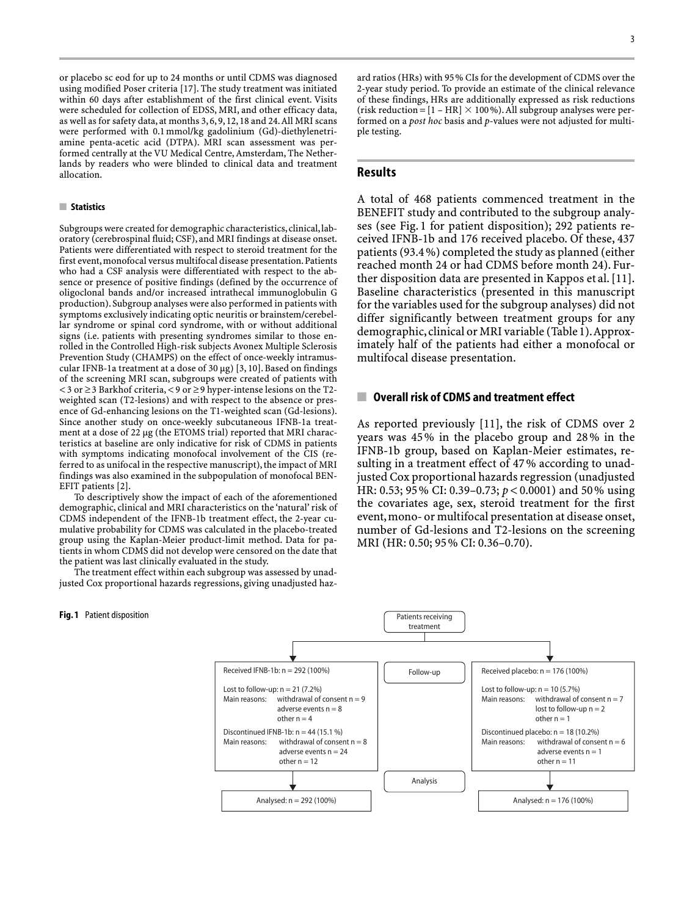or placebo sc eod for up to 24 months or until CDMS was diagnosed using modified Poser criteria [17]. The study treatment was initiated within 60 days after establishment of the first clinical event. Visits were scheduled for collection of EDSS, MRI, and other efficacy data, as well as for safety data, at months 3, 6, 9, 12, 18 and 24.All MRI scans were performed with 0.1 mmol/kg gadolinium (Gd)-diethylenetriamine penta-acetic acid (DTPA). MRI scan assessment was performed centrally at the VU Medical Centre, Amsterdam, The Netherlands by readers who were blinded to clinical data and treatment allocation.

#### ■ Statistics

Subgroups were created for demographic characteristics, clinical, laboratory (cerebrospinal fluid; CSF), and MRI findings at disease onset. Patients were differentiated with respect to steroid treatment for the first event, monofocal versus multifocal disease presentation. Patients who had a CSF analysis were differentiated with respect to the absence or presence of positive findings (defined by the occurrence of oligoclonal bands and/or increased intrathecal immunoglobulin G production). Subgroup analyses were also performed in patients with symptoms exclusively indicating optic neuritis or brainstem/cerebellar syndrome or spinal cord syndrome, with or without additional signs (i.e. patients with presenting syndromes similar to those enrolled in the Controlled High-risk subjects Avonex Multiple Sclerosis Prevention Study (CHAMPS) on the effect of once-weekly intramuscular IFNB-1a treatment at a dose of 30 μg) [3, 10]. Based on findings of the screening MRI scan, subgroups were created of patients with < 3 or ≥ 3 Barkhof criteria, < 9 or ≥ 9 hyper-intense lesions on the T2 weighted scan (T2-lesions) and with respect to the absence or presence of Gd-enhancing lesions on the T1-weighted scan (Gd-lesions). Since another study on once-weekly subcutaneous IFNB-1a treatment at a dose of 22 μg (the ETOMS trial) reported that MRI characteristics at baseline are only indicative for risk of CDMS in patients with symptoms indicating monofocal involvement of the CIS (referred to as unifocal in the respective manuscript), the impact of MRI findings was also examined in the subpopulation of monofocal BEN-EFIT patients [2].

To descriptively show the impact of each of the aforementioned demographic, clinical and MRI characteristics on the 'natural' risk of CDMS independent of the IFNB-1b treatment effect, the 2-year cumulative probability for CDMS was calculated in the placebo-treated group using the Kaplan-Meier product-limit method. Data for patients in whom CDMS did not develop were censored on the date that the patient was last clinically evaluated in the study.

The treatment effect within each subgroup was assessed by unadjusted Cox proportional hazards regressions, giving unadjusted haz-

#### Fig. 1 Patient disposition

ard ratios (HRs) with 95 % CIs for the development of CDMS over the 2-year study period. To provide an estimate of the clinical relevance of these findings, HRs are additionally expressed as risk reductions (risk reduction =  $[1 - HR] \times 100\%$ ). All subgroup analyses were performed on a *post hoc* basis and *p*-values were not adjusted for multiple testing.

#### Results

A total of 468 patients commenced treatment in the BENEFIT study and contributed to the subgroup analyses (see Fig. 1 for patient disposition); 292 patients received IFNB-1b and 176 received placebo. Of these, 437 patients (93.4 %) completed the study as planned (either reached month 24 or had CDMS before month 24). Further disposition data are presented in Kappos et al. [11]. Baseline characteristics (presented in this manuscript for the variables used for the subgroup analyses) did not differ significantly between treatment groups for any demographic, clinical or MRI variable (Table 1). Approximately half of the patients had either a monofocal or multifocal disease presentation.

### ■ Overall risk of CDMS and treatment effect

As reported previously [11], the risk of CDMS over 2 years was 45 % in the placebo group and 28 % in the IFNB-1b group, based on Kaplan-Meier estimates, resulting in a treatment effect of 47 % according to unadjusted Cox proportional hazards regression (unadjusted HR: 0.53; 95 % CI: 0.39–0.73; *p*< 0.0001) and 50 % using the covariates age, sex, steroid treatment for the first event,mono- or multifocal presentation at disease onset, number of Gd-lesions and T2-lesions on the screening MRI (HR: 0.50; 95 % CI: 0.36–0.70).

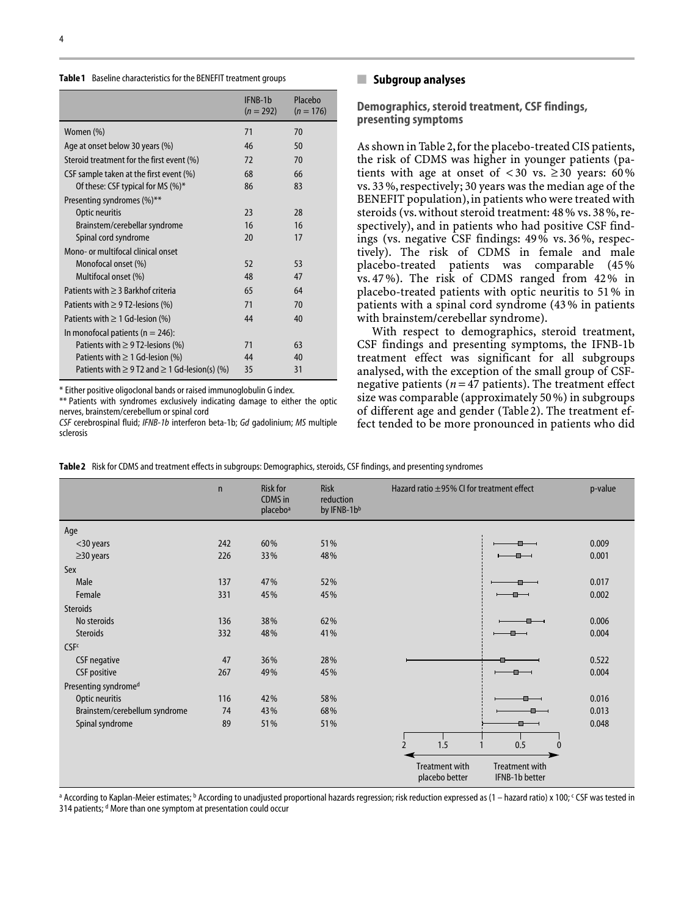Table 1 Baseline characteristics for the BENEFIT treatment groups

|                                                         | IFNB-1b<br>$(n = 292)$ | Placebo<br>$(n = 176)$ |
|---------------------------------------------------------|------------------------|------------------------|
| Women (%)                                               | 71                     | 70                     |
| Age at onset below 30 years (%)                         | 46                     | 50                     |
| Steroid treatment for the first event (%)               | 72                     | 70                     |
| CSF sample taken at the first event (%)                 | 68                     | 66                     |
| Of these: CSF typical for MS $(\%)^*$                   | 86                     | 83                     |
| Presenting syndromes (%)**                              |                        |                        |
| Optic neuritis                                          | 23                     | 28                     |
| Brainstem/cerebellar syndrome                           | 16                     | 16                     |
| Spinal cord syndrome                                    | 20                     | 17                     |
| Mono- or multifocal clinical onset                      |                        |                        |
| Monofocal onset (%)                                     | 52                     | 53                     |
| Multifocal onset (%)                                    | 48                     | 47                     |
| Patients with $>$ 3 Barkhof criteria                    | 65                     | 64                     |
| Patients with $\geq$ 9 T2-lesions (%)                   | 71                     | 70                     |
| Patients with $\geq 1$ Gd-lesion (%)                    | 44                     | 40                     |
| In monofocal patients ( $n = 246$ ):                    |                        |                        |
| Patients with $\geq$ 9 T2-lesions (%)                   | 71                     | 63                     |
| Patients with $\geq 1$ Gd-lesion (%)                    | 44                     | 40                     |
| Patients with $\geq$ 9 T2 and $\geq$ 1 Gd-lesion(s) (%) | 35                     | 31                     |

\* Either positive oligoclonal bands or raised immunoglobulin G index.

\*\* Patients with syndromes exclusively indicating damage to either the optic nerves, brainstem/cerebellum or spinal cord

CSF cerebrospinal fluid; IFNB-1b interferon beta-1b; Gd gadolinium; MS multiple sclerosis

#### ■ Subgroup analyses

Demographics, steroid treatment, CSF findings, presenting symptoms

As shown in Table 2, for the placebo-treated CIS patients, the risk of CDMS was higher in younger patients (patients with age at onset of  $<30$  vs.  $\geq 30$  years: 60% vs. 33 %, respectively; 30 years was the median age of the BENEFIT population), in patients who were treated with steroids (vs. without steroid treatment: 48 % vs. 38 %, respectively), and in patients who had positive CSF findings (vs. negative CSF findings: 49 % vs. 36 %, respectively). The risk of CDMS in female and male placebo-treated patients was comparable (45 % vs. 47 %). The risk of CDMS ranged from 42 % in placebo-treated patients with optic neuritis to 51 % in patients with a spinal cord syndrome (43 % in patients with brainstem/cerebellar syndrome).

With respect to demographics, steroid treatment, CSF findings and presenting symptoms, the IFNB-1b treatment effect was significant for all subgroups analysed, with the exception of the small group of CSFnegative patients (*n*= 47 patients). The treatment effect size was comparable (approximately 50 %) in subgroups of different age and gender (Table 2). The treatment effect tended to be more pronounced in patients who did

|                                  | $\mathsf{n}$ | <b>Risk for</b><br>CDMS in<br>placebo <sup>a</sup> | <b>Risk</b><br>reduction<br>by IFNB-1bb | Hazard ratio ±95% CI for treatment effect                                          | p-value |
|----------------------------------|--------------|----------------------------------------------------|-----------------------------------------|------------------------------------------------------------------------------------|---------|
| Age                              |              |                                                    |                                         |                                                                                    |         |
| <30 years                        | 242          | 60%                                                | 51%                                     |                                                                                    | 0.009   |
| $\geq$ 30 years                  | 226          | 33%                                                | 48%                                     | п-                                                                                 | 0.001   |
| Sex                              |              |                                                    |                                         |                                                                                    |         |
| Male                             | 137          | 47%                                                | 52%                                     |                                                                                    | 0.017   |
| Female                           | 331          | 45%                                                | 45%                                     | $\overline{\phantom{a}}$                                                           | 0.002   |
| <b>Steroids</b>                  |              |                                                    |                                         |                                                                                    |         |
| No steroids                      | 136          | 38%                                                | 62%                                     |                                                                                    | 0.006   |
| <b>Steroids</b>                  | 332          | 48%                                                | 41%                                     |                                                                                    | 0.004   |
| CSE <sub>c</sub>                 |              |                                                    |                                         |                                                                                    |         |
| <b>CSF</b> negative              | 47           | 36%                                                | 28%                                     |                                                                                    | 0.522   |
| <b>CSF</b> positive              | 267          | 49%                                                | 45%                                     |                                                                                    | 0.004   |
| Presenting syndrome <sup>d</sup> |              |                                                    |                                         |                                                                                    |         |
| Optic neuritis                   | 116          | 42%                                                | 58%                                     |                                                                                    | 0.016   |
| Brainstem/cerebellum syndrome    | 74           | 43%                                                | 68%                                     |                                                                                    | 0.013   |
| Spinal syndrome                  | 89           | 51%                                                | 51%                                     | œ                                                                                  | 0.048   |
|                                  |              |                                                    |                                         | 1.5<br>0.5<br>$\overline{\phantom{0}}$<br>ſ                                        |         |
|                                  |              |                                                    |                                         | <b>Treatment with</b><br><b>Treatment with</b><br>IFNB-1b better<br>placebo better |         |

Table 2 Risk for CDMS and treatment effects in subgroups: Demographics, steroids, CSF findings, and presenting syndromes

<sup>a</sup> According to Kaplan-Meier estimates; <sup>b</sup> According to unadjusted proportional hazards regression; risk reduction expressed as (1 – hazard ratio) x 100; <sup>c</sup> CSF was tested in 314 patients; d More than one symptom at presentation could occur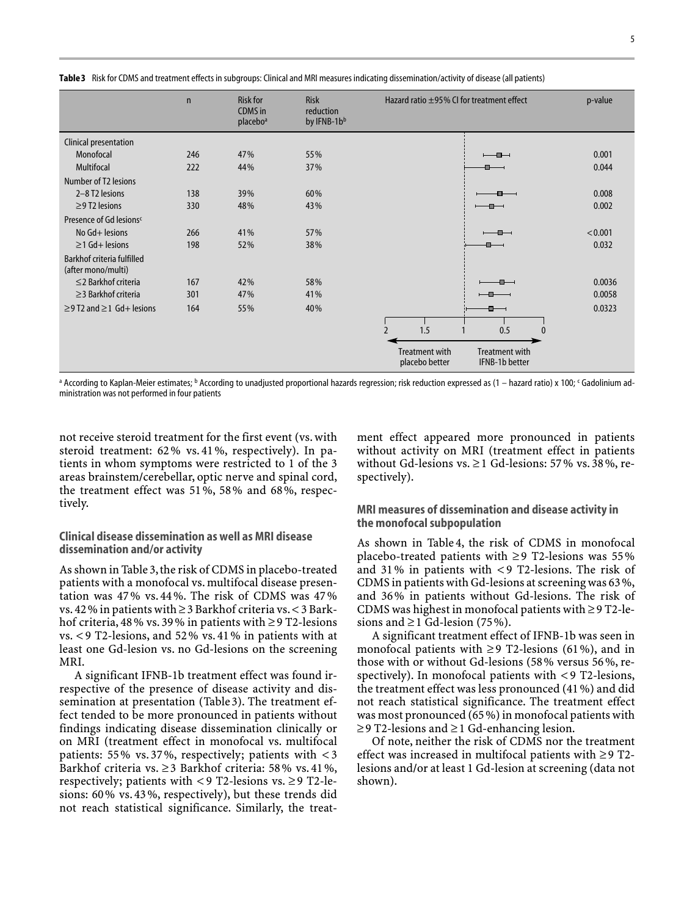Table 3 Risk for CDMS and treatment effects in subgroups: Clinical and MRI measures indicating dissemination/activity of disease (all patients)

|                                                         | $\mathsf{n}$ | <b>Risk for</b><br>CDMS in<br>placebo <sup>a</sup> | <b>Risk</b><br>reduction<br>by IFNB-1bb | Hazard ratio ±95% CI for treatment effect |                                           | p-value |
|---------------------------------------------------------|--------------|----------------------------------------------------|-----------------------------------------|-------------------------------------------|-------------------------------------------|---------|
| Clinical presentation                                   |              |                                                    |                                         |                                           |                                           |         |
| Monofocal                                               | 246          | 47%                                                | 55%                                     |                                           | $\overline{\phantom{a}}$                  | 0.001   |
| Multifocal                                              | 222          | 44%                                                | 37%                                     |                                           | ╍                                         | 0.044   |
| Number of T2 lesions                                    |              |                                                    |                                         |                                           |                                           |         |
| 2-8 T2 lesions                                          | 138          | 39%                                                | 60%                                     |                                           |                                           | 0.008   |
| $\geq$ 9 T2 lesions                                     | 330          | 48%                                                | 43%                                     |                                           |                                           | 0.002   |
| Presence of Gd lesions <sup>c</sup>                     |              |                                                    |                                         |                                           |                                           |         |
| No Gd+ lesions                                          | 266          | 41%                                                | 57%                                     |                                           | $\overline{\phantom{a}}$                  | < 0.001 |
| $\geq$ 1 Gd+ lesions                                    | 198          | 52%                                                | 38%                                     |                                           |                                           | 0.032   |
| <b>Barkhof criteria fulfilled</b><br>(after mono/multi) |              |                                                    |                                         |                                           |                                           |         |
| $\leq$ 2 Barkhof criteria                               | 167          | 42%                                                | 58%                                     |                                           | $-$                                       | 0.0036  |
| $\geq$ 3 Barkhof criteria                               | 301          | 47%                                                | 41%                                     |                                           | $\qquad \qquad \overline{\qquad \qquad }$ | 0.0058  |
| $\geq$ 9 T2 and $\geq$ 1 Gd+ lesions                    | 164          | 55%                                                | 40%                                     |                                           | $-$                                       | 0.0323  |
|                                                         |              |                                                    |                                         | 1.5<br>$\mathfrak{p}$                     | 0.5<br>$\Omega$                           |         |
|                                                         |              |                                                    |                                         | <b>Treatment with</b><br>placebo better   | Treatment with<br>IFNB-1b better          |         |

<sup>a</sup> According to Kaplan-Meier estimates; <sup>b</sup> According to unadjusted proportional hazards regression; risk reduction expressed as (1 – hazard ratio) x 100; <sup>c</sup> Gadolinium administration was not performed in four patients

not receive steroid treatment for the first event (vs. with steroid treatment: 62 % vs. 41 %, respectively). In patients in whom symptoms were restricted to 1 of the 3 areas brainstem/cerebellar, optic nerve and spinal cord, the treatment effect was 51 %, 58 % and 68 %, respectively.

## Clinical disease dissemination as well as MRI disease dissemination and/or activity

As shown in Table 3,the risk of CDMS in placebo-treated patients with a monofocal vs. multifocal disease presentation was 47 % vs. 44 %. The risk of CDMS was 47 % vs. 42 % in patients with ≥ 3 Barkhof criteria vs.< 3 Barkhof criteria, 48 % vs. 39 % in patients with ≥ 9 T2-lesions vs. < 9 T2-lesions, and 52 % vs. 41 % in patients with at least one Gd-lesion vs. no Gd-lesions on the screening MRI.

A significant IFNB-1b treatment effect was found irrespective of the presence of disease activity and dissemination at presentation (Table 3). The treatment effect tended to be more pronounced in patients without findings indicating disease dissemination clinically or on MRI (treatment effect in monofocal vs. multifocal patients: 55% vs. 37%, respectively; patients with  $<$  3 Barkhof criteria vs. ≥ 3 Barkhof criteria: 58 % vs. 41 %, respectively; patients with  $\lt 9$  T2-lesions vs.  $\ge 9$  T2-lesions: 60 % vs. 43 %, respectively), but these trends did not reach statistical significance. Similarly, the treatment effect appeared more pronounced in patients without activity on MRI (treatment effect in patients without Gd-lesions vs.  $\geq 1$  Gd-lesions: 57% vs. 38%, respectively).

# MRI measures of dissemination and disease activity in the monofocal subpopulation

As shown in Table 4, the risk of CDMS in monofocal placebo-treated patients with ≥9 T2-lesions was 55% and 31% in patients with  $\lt 9$  T2-lesions. The risk of CDMS in patients with Gd-lesions at screening was 63 %, and 36 % in patients without Gd-lesions. The risk of CDMS was highest in monofocal patients with  $\geq$  9 T2-lesions and  $\geq 1$  Gd-lesion (75%).

A significant treatment effect of IFNB-1b was seen in monofocal patients with  $\geq$  9 T2-lesions (61%), and in those with or without Gd-lesions (58 % versus 56 %, respectively). In monofocal patients with < 9 T2-lesions, the treatment effect was less pronounced (41 %) and did not reach statistical significance. The treatment effect was most pronounced (65 %) in monofocal patients with ≥ 9 T2-lesions and ≥ 1 Gd-enhancing lesion.

Of note, neither the risk of CDMS nor the treatment effect was increased in multifocal patients with  $\geq$  9 T2lesions and/or at least 1 Gd-lesion at screening (data not shown).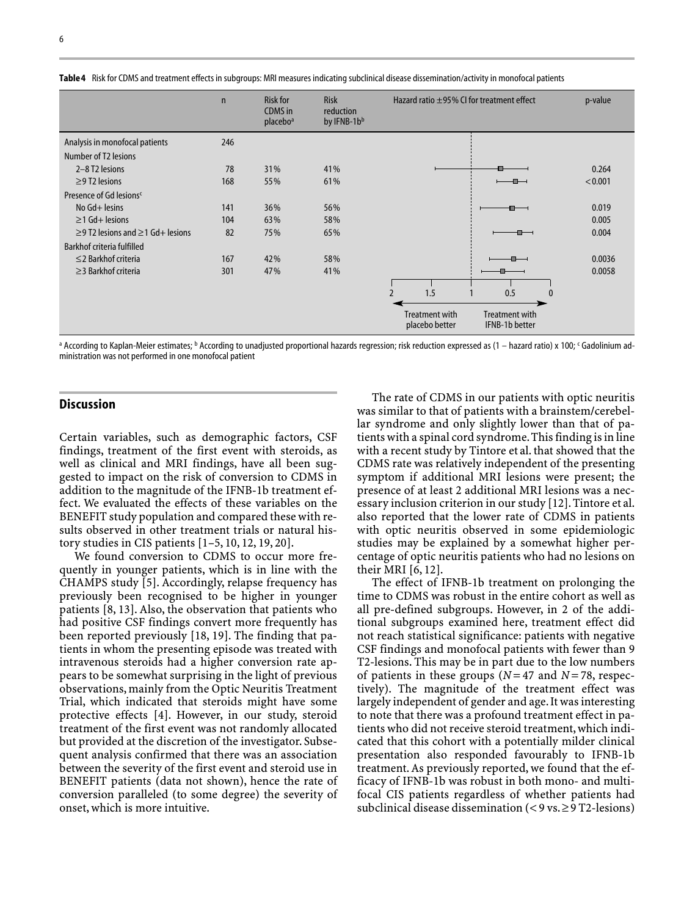Table 4 Risk for CDMS and treatment effects in subgroups: MRI measures indicating subclinical disease dissemination/activity in monofocal patients

|                                              | $\mathsf{n}$ | <b>Risk for</b><br><b>CDMS</b> in<br>placebo <sup>a</sup> | <b>Risk</b><br>reduction<br>by IFNB-1bb | Hazard ratio ±95% CI for treatment effect |                                  | p-value  |
|----------------------------------------------|--------------|-----------------------------------------------------------|-----------------------------------------|-------------------------------------------|----------------------------------|----------|
| Analysis in monofocal patients               | 246          |                                                           |                                         |                                           |                                  |          |
| Number of T2 lesions                         |              |                                                           |                                         |                                           |                                  |          |
| 2-8 T <sub>2</sub> lesions                   | 78           | 31%                                                       | 41%                                     |                                           |                                  | 0.264    |
| $\geq$ 9 T2 lesions                          | 168          | 55%                                                       | 61%                                     |                                           | ╍                                | < 0.001  |
| Presence of Gd lesions <sup>c</sup>          |              |                                                           |                                         |                                           |                                  |          |
| No Gd+ lesins                                | 141          | 36%                                                       | 56%                                     |                                           |                                  | 0.019    |
| $\geq$ 1 Gd + lesions                        | 104          | 63%                                                       | 58%                                     |                                           |                                  | 0.005    |
| $\geq$ 9 T2 lesions and $\geq$ 1 Gd+ lesions | 82           | 75%                                                       | 65%                                     |                                           |                                  | 0.004    |
| Barkhof criteria fulfilled                   |              |                                                           |                                         |                                           |                                  |          |
| $\leq$ 2 Barkhof criteria                    | 167          | 42%                                                       | 58%                                     |                                           |                                  | 0.0036   |
| $\geq$ 3 Barkhof criteria                    | 301          | 47%                                                       | 41%                                     |                                           |                                  | 0.0058   |
|                                              |              |                                                           |                                         |                                           |                                  |          |
|                                              |              |                                                           |                                         | 1.5                                       | 0.5                              | $\bf{0}$ |
|                                              |              |                                                           |                                         | <b>Treatment with</b><br>placebo better   | Treatment with<br>IFNB-1b better |          |

<sup>a</sup> According to Kaplan-Meier estimates; <sup>b</sup> According to unadjusted proportional hazards regression; risk reduction expressed as (1 – hazard ratio) x 100; <sup>c</sup> Gadolinium administration was not performed in one monofocal patient

## **Discussion**

Certain variables, such as demographic factors, CSF findings, treatment of the first event with steroids, as well as clinical and MRI findings, have all been suggested to impact on the risk of conversion to CDMS in addition to the magnitude of the IFNB-1b treatment effect. We evaluated the effects of these variables on the BENEFIT study population and compared these with results observed in other treatment trials or natural history studies in CIS patients [1–5, 10, 12, 19, 20].

We found conversion to CDMS to occur more frequently in younger patients, which is in line with the CHAMPS study [5]. Accordingly, relapse frequency has previously been recognised to be higher in younger patients [8, 13]. Also, the observation that patients who had positive CSF findings convert more frequently has been reported previously [18, 19]. The finding that patients in whom the presenting episode was treated with intravenous steroids had a higher conversion rate appears to be somewhat surprising in the light of previous observations, mainly from the Optic Neuritis Treatment Trial, which indicated that steroids might have some protective effects [4]. However, in our study, steroid treatment of the first event was not randomly allocated but provided at the discretion of the investigator. Subsequent analysis confirmed that there was an association between the severity of the first event and steroid use in BENEFIT patients (data not shown), hence the rate of conversion paralleled (to some degree) the severity of onset, which is more intuitive.

The rate of CDMS in our patients with optic neuritis was similar to that of patients with a brainstem/cerebellar syndrome and only slightly lower than that of patients with a spinal cord syndrome.This finding is in line with a recent study by Tintore et al. that showed that the CDMS rate was relatively independent of the presenting symptom if additional MRI lesions were present; the presence of at least 2 additional MRI lesions was a necessary inclusion criterion in our study [12]. Tintore et al. also reported that the lower rate of CDMS in patients with optic neuritis observed in some epidemiologic studies may be explained by a somewhat higher percentage of optic neuritis patients who had no lesions on their MRI [6, 12].

The effect of IFNB-1b treatment on prolonging the time to CDMS was robust in the entire cohort as well as all pre-defined subgroups. However, in 2 of the additional subgroups examined here, treatment effect did not reach statistical significance: patients with negative CSF findings and monofocal patients with fewer than 9 T2-lesions. This may be in part due to the low numbers of patients in these groups (*N*= 47 and *N*= 78, respectively). The magnitude of the treatment effect was largely independent of gender and age. It was interesting to note that there was a profound treatment effect in patients who did not receive steroid treatment, which indicated that this cohort with a potentially milder clinical presentation also responded favourably to IFNB-1b treatment. As previously reported, we found that the efficacy of IFNB-1b was robust in both mono- and multifocal CIS patients regardless of whether patients had subclinical disease dissemination  $($  < 9 vs.  $\geq$  9 T2-lesions)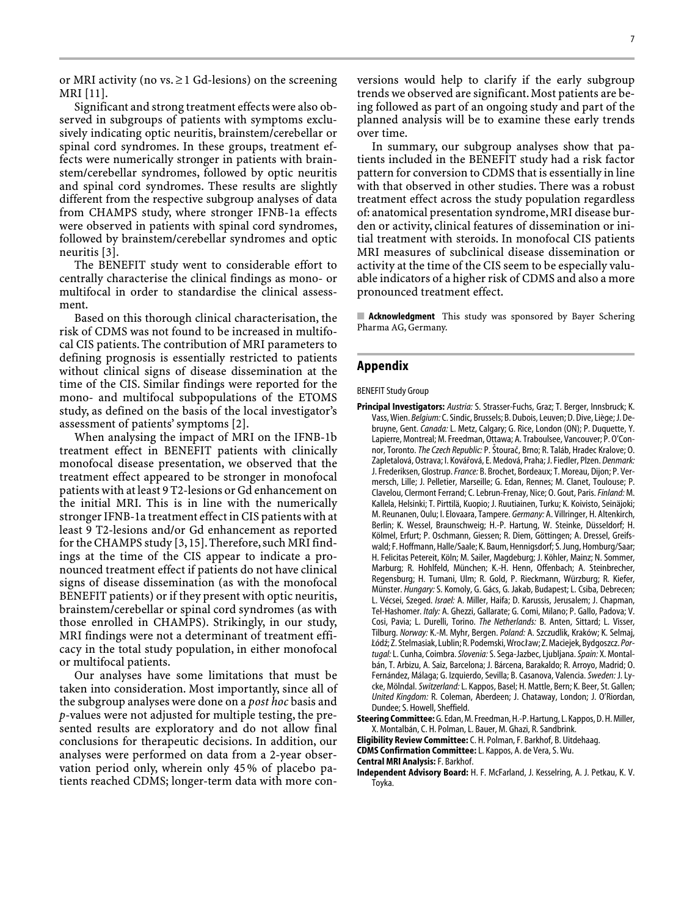or MRI activity (no vs.  $\geq$  1 Gd-lesions) on the screening MRI [11].

Significant and strong treatment effects were also observed in subgroups of patients with symptoms exclusively indicating optic neuritis, brainstem/cerebellar or spinal cord syndromes. In these groups, treatment effects were numerically stronger in patients with brainstem/cerebellar syndromes, followed by optic neuritis and spinal cord syndromes. These results are slightly different from the respective subgroup analyses of data from CHAMPS study, where stronger IFNB-1a effects were observed in patients with spinal cord syndromes, followed by brainstem/cerebellar syndromes and optic neuritis [3].

The BENEFIT study went to considerable effort to centrally characterise the clinical findings as mono- or multifocal in order to standardise the clinical assessment.

Based on this thorough clinical characterisation, the risk of CDMS was not found to be increased in multifocal CIS patients. The contribution of MRI parameters to defining prognosis is essentially restricted to patients without clinical signs of disease dissemination at the time of the CIS. Similar findings were reported for the mono- and multifocal subpopulations of the ETOMS study, as defined on the basis of the local investigator's assessment of patients' symptoms [2].

When analysing the impact of MRI on the IFNB-1b treatment effect in BENEFIT patients with clinically monofocal disease presentation, we observed that the treatment effect appeared to be stronger in monofocal patients with at least 9 T2-lesions or Gd enhancement on the initial MRI. This is in line with the numerically stronger IFNB-1a treatment effect in CIS patients with at least 9 T2-lesions and/or Gd enhancement as reported for the CHAMPS study [3, 15]. Therefore, such MRI findings at the time of the CIS appear to indicate a pronounced treatment effect if patients do not have clinical signs of disease dissemination (as with the monofocal BENEFIT patients) or if they present with optic neuritis, brainstem/cerebellar or spinal cord syndromes (as with those enrolled in CHAMPS). Strikingly, in our study, MRI findings were not a determinant of treatment efficacy in the total study population, in either monofocal or multifocal patients.

Our analyses have some limitations that must be taken into consideration. Most importantly, since all of the subgroup analyses were done on a *post hoc* basis and *p*-values were not adjusted for multiple testing, the presented results are exploratory and do not allow final conclusions for therapeutic decisions. In addition, our analyses were performed on data from a 2-year observation period only, wherein only 45 % of placebo patients reached CDMS; longer-term data with more conversions would help to clarify if the early subgroup trends we observed are significant. Most patients are being followed as part of an ongoing study and part of the planned analysis will be to examine these early trends over time.

In summary, our subgroup analyses show that patients included in the BENEFIT study had a risk factor pattern for conversion to CDMS that is essentially in line with that observed in other studies. There was a robust treatment effect across the study population regardless of: anatomical presentation syndrome, MRI disease burden or activity, clinical features of dissemination or initial treatment with steroids. In monofocal CIS patients MRI measures of subclinical disease dissemination or activity at the time of the CIS seem to be especially valuable indicators of a higher risk of CDMS and also a more pronounced treatment effect.

■ Acknowledgment This study was sponsored by Bayer Schering Pharma AG, Germany.

## Appendix

#### BENEFIT Study Group

- Principal Investigators: Austria: S. Strasser-Fuchs, Graz; T. Berger, Innsbruck; K. Vass, Wien. Belgium: C. Sindic, Brussels; B. Dubois, Leuven; D. Dive, Liège; J. Debruyne, Gent. Canada: L. Metz, Calgary; G. Rice, London (ON); P. Duquette, Y. Lapierre, Montreal; M. Freedman, Ottawa; A. Traboulsee, Vancouver; P. O'Connor, Toronto. The Czech Republic: P. Stourač, Brno; R. Taláb, Hradec Kralove; O. Zapletalová, Ostrava; I. Kovářová, E. Medová, Praha; J. Fiedler, Plzen. Denmark: J. Frederiksen, Glostrup. France: B. Brochet, Bordeaux; T. Moreau, Dijon; P. Vermersch, Lille; J. Pelletier, Marseille; G. Edan, Rennes; M. Clanet, Toulouse; P. Clavelou, Clermont Ferrand; C. Lebrun-Frenay, Nice; O. Gout, Paris. Finland: M. Kallela, Helsinki; T. Pirttilä, Kuopio; J. Ruutiainen, Turku; K. Koivisto, Seinäjoki; M. Reunanen, Oulu; I. Elovaara, Tampere. Germany: A. Villringer, H. Altenkirch, Berlin; K. Wessel, Braunschweig; H.-P. Hartung, W. Steinke, Düsseldorf; H. Kölmel, Erfurt; P. Oschmann, Giessen; R. Diem, Göttingen; A. Dressel, Greifswald; F. Hoffmann, Halle/Saale; K. Baum, Hennigsdorf; S. Jung, Homburg/Saar; H. Felicitas Petereit, Köln; M. Sailer, Magdeburg; J. Köhler, Mainz; N. Sommer, Marburg; R. Hohlfeld, München; K.-H. Henn, Offenbach; A. Steinbrecher, Regensburg; H. Tumani, Ulm; R. Gold, P. Rieckmann, Würzburg; R. Kiefer, Münster. Hungary: S. Komoly, G. Gács, G. Jakab, Budapest; L. Csiba, Debrecen; L. Vécsei, Szeged. Israel: A. Miller, Haifa; D. Karussis, Jerusalem; J. Chapman, Tel-Hashomer. Italy: A. Ghezzi, Gallarate; G. Comi, Milano; P. Gallo, Padova; V. Cosi, Pavia; L. Durelli, Torino. The Netherlands: B. Anten, Sittard; L. Visser, Tilburg. Norway: K.-M. Myhr, Bergen. Poland: A. Szczudlik, Kraków; K. Selmaj, ⁄Lód´z; Z. Stelmasiak, Lublin; R. Podemski, Wrocl⁄aw; Z. Maciejek, Bydgoszcz. Portugal: L. Cunha, Coimbra. Slovenia: S. Sega-Jazbec, Ljubljana. Spain: X. Montalbán, T. Arbizu, A. Saiz, Barcelona; J. Bárcena, Barakaldo; R. Arroyo, Madrid; O. Fernández, Málaga; G. Izquierdo, Sevilla; B. Casanova, Valencia. Sweden: J. Lycke, Mölndal. Switzerland: L. Kappos, Basel; H. Mattle, Bern; K. Beer, St. Gallen; United Kingdom: R. Coleman, Aberdeen; J. Chataway, London; J. O'Riordan, Dundee; S. Howell, Sheffield.
- Steering Committee: G. Edan, M. Freedman, H.-P. Hartung, L. Kappos, D. H. Miller, X. Montalbán, C. H. Polman, L. Bauer, M. Ghazi, R. Sandbrink.

Eligibility Review Committee: C. H. Polman, F. Barkhof, B. Uitdehaag.

CDMS Confirmation Committee:L. Kappos, A. de Vera, S. Wu.

Central MRI Analysis:F. Barkhof.

Independent Advisory Board: H. F. McFarland, J. Kesselring, A. J. Petkau, K. V. Toyka.